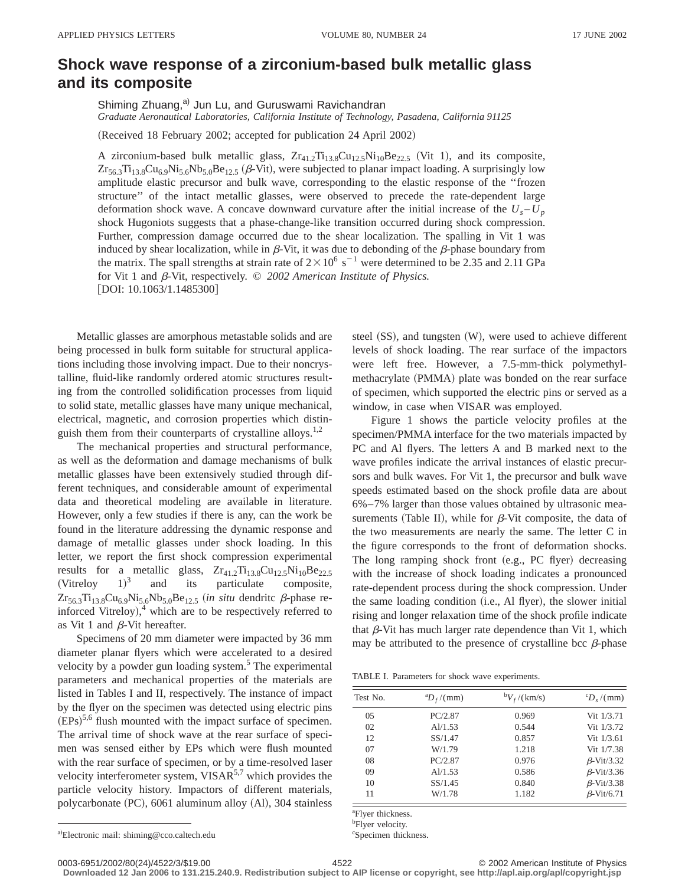## **Shock wave response of a zirconium-based bulk metallic glass and its composite**

Shiming Zhuang,<sup>a)</sup> Jun Lu, and Guruswami Ravichandran *Graduate Aeronautical Laboratories, California Institute of Technology, Pasadena, California 91125*

(Received 18 February 2002; accepted for publication 24 April 2002)

A zirconium-based bulk metallic glass,  $Zr_{41.2}Ti_{13.8}Cu_{12.5}Ni_{10}Be_{22.5}$  (Vit 1), and its composite,  $Zr_{56.3}Ti_{13.8}Cu_{6.9}Ni_{5.6}Nb_{5.0}Be_{12.5}$  ( $\beta$ -Vit), were subjected to planar impact loading. A surprisingly low amplitude elastic precursor and bulk wave, corresponding to the elastic response of the ''frozen structure'' of the intact metallic glasses, were observed to precede the rate-dependent large deformation shock wave. A concave downward curvature after the initial increase of the  $U_s - U_p$ shock Hugoniots suggests that a phase-change-like transition occurred during shock compression. Further, compression damage occurred due to the shear localization. The spalling in Vit 1 was induced by shear localization, while in  $\beta$ -Vit, it was due to debonding of the  $\beta$ -phase boundary from the matrix. The spall strengths at strain rate of  $2 \times 10^6$  s<sup>-1</sup> were determined to be 2.35 and 2.11 GPa for Vit 1 and  $\beta$ -Vit, respectively.  $\odot$  2002 American Institute of Physics.  $[$ DOI: 10.1063/1.1485300 $]$ 

Metallic glasses are amorphous metastable solids and are being processed in bulk form suitable for structural applications including those involving impact. Due to their noncrystalline, fluid-like randomly ordered atomic structures resulting from the controlled solidification processes from liquid to solid state, metallic glasses have many unique mechanical, electrical, magnetic, and corrosion properties which distinguish them from their counterparts of crystalline alloys.<sup>1,2</sup>

The mechanical properties and structural performance, as well as the deformation and damage mechanisms of bulk metallic glasses have been extensively studied through different techniques, and considerable amount of experimental data and theoretical modeling are available in literature. However, only a few studies if there is any, can the work be found in the literature addressing the dynamic response and damage of metallic glasses under shock loading. In this letter, we report the first shock compression experimental results for a metallic glass,  $Zr_{41.2}Ti_{13.8}Cu_{12.5}Ni_{10}Be_{22.5}$  $(Vitrelov 1)<sup>3</sup>$ and its particulate composite,  $Zr_{56.3}Ti_{13.8}Cu_{6.9}Ni_{5.6}Nb_{5.0}Be_{12.5}$  (*in situ* dendritc  $\beta$ -phase reinforced Vitreloy), $4$  which are to be respectively referred to as Vit 1 and  $\beta$ -Vit hereafter.

Specimens of 20 mm diameter were impacted by 36 mm diameter planar flyers which were accelerated to a desired velocity by a powder gun loading system.<sup>5</sup> The experimental parameters and mechanical properties of the materials are listed in Tables I and II, respectively. The instance of impact by the flyer on the specimen was detected using electric pins  $(EPs)^{5,6}$  flush mounted with the impact surface of specimen. The arrival time of shock wave at the rear surface of specimen was sensed either by EPs which were flush mounted with the rear surface of specimen, or by a time-resolved laser velocity interferometer system,  $VISAR<sup>5,7</sup>$  which provides the particle velocity history. Impactors of different materials, polycarbonate (PC), 6061 aluminum alloy (Al), 304 stainless steel  $(SS)$ , and tungsten  $(W)$ , were used to achieve different levels of shock loading. The rear surface of the impactors were left free. However, a 7.5-mm-thick polymethylmethacrylate (PMMA) plate was bonded on the rear surface of specimen, which supported the electric pins or served as a window, in case when VISAR was employed.

Figure 1 shows the particle velocity profiles at the specimen/PMMA interface for the two materials impacted by PC and Al flyers. The letters A and B marked next to the wave profiles indicate the arrival instances of elastic precursors and bulk waves. For Vit 1, the precursor and bulk wave speeds estimated based on the shock profile data are about 6%–7% larger than those values obtained by ultrasonic measurements (Table II), while for  $\beta$ -Vit composite, the data of the two measurements are nearly the same. The letter C in the figure corresponds to the front of deformation shocks. The long ramping shock front  $(e.g., PC$  flyer) decreasing with the increase of shock loading indicates a pronounced rate-dependent process during the shock compression. Under the same loading condition (i.e., Al flyer), the slower initial rising and longer relaxation time of the shock profile indicate that  $\beta$ -Vit has much larger rate dependence than Vit 1, which may be attributed to the presence of crystalline bcc  $\beta$ -phase

TABLE I. Parameters for shock wave experiments.

| Test No.       | ${}^{\rm a}D_f/(mm)$ | ${}^{\rm b}V_f$ /(km/s) | ${}^cD$ (mm)      |
|----------------|----------------------|-------------------------|-------------------|
| 0 <sub>5</sub> | PC/2.87              | 0.969                   | Vit 1/3.71        |
| 02             | Al/1.53              | 0.544                   | Vit 1/3.72        |
| 12             | SS/1.47              | 0.857                   | Vit $1/3.61$      |
| 07             | W/1.79               | 1.218                   | Vit 1/7.38        |
| 08             | PC/2.87              | 0.976                   | $\beta$ -Vit/3.32 |
| 09             | Al/1.53              | 0.586                   | $\beta$ -Vit/3.36 |
| 10             | SS/1.45              | 0.840                   | $\beta$ -Vit/3.38 |
| 11             | W/1.78               | 1.182                   | $\beta$ -Vit/6.71 |

a Flyer thickness.

<sup>b</sup>Flyer velocity.

c Specimen thickness.

0003-6951/2002/80(24)/4522/3/\$19.00 © 2002 American Institute of Physics 4522

**Downloaded 12 Jan 2006 to 131.215.240.9. Redistribution subject to AIP license or copyright, see http://apl.aip.org/apl/copyright.jsp**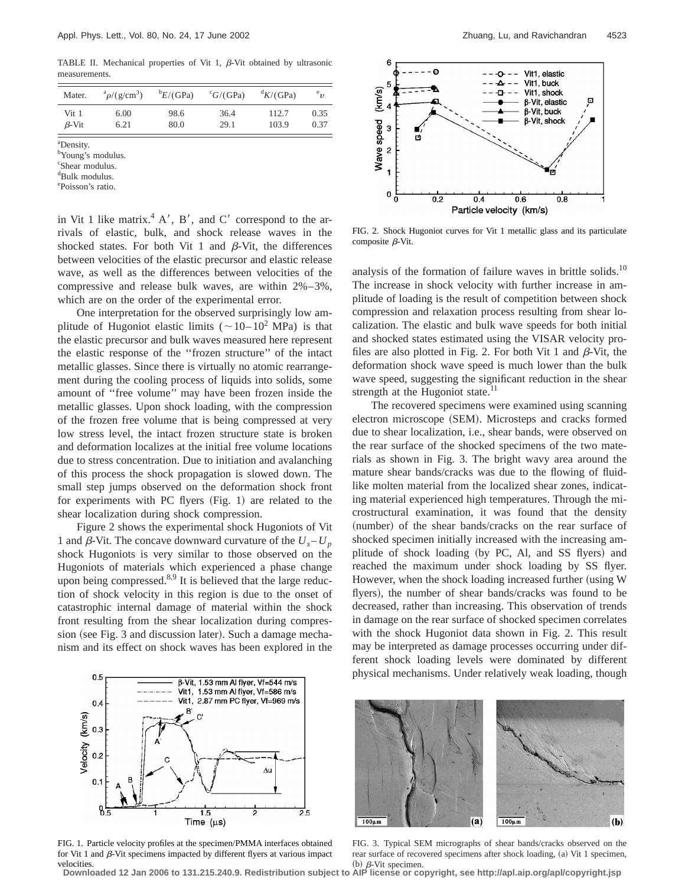TABLE II. Mechanical properties of Vit 1,  $\beta$ -Vit obtained by ultrasonic measurements.

| Mater.       | $a_{\rho}/(g/cm^3)$ | E/(GPa) | ${}^cG/(GPa)$ | dK/(GPa) | $^{e}v$ |
|--------------|---------------------|---------|---------------|----------|---------|
| Vit 1        | 6.00                | 98.6    | 36.4          | 112.7    | 0.35    |
| $\beta$ -Vit | 6.21                | 80.0    | 29.1          | 103.9    | 0.37    |

a Density.

b Young's modulus.

c Shear modulus.

d Bulk modulus.

e Poisson's ratio.

in Vit 1 like matrix.<sup>4</sup> A', B', and C' correspond to the arrivals of elastic, bulk, and shock release waves in the shocked states. For both Vit 1 and  $\beta$ -Vit, the differences between velocities of the elastic precursor and elastic release wave, as well as the differences between velocities of the compressive and release bulk waves, are within 2%–3%, which are on the order of the experimental error.

One interpretation for the observed surprisingly low amplitude of Hugoniot elastic limits ( $\sim$  10– 10<sup>2</sup> MPa) is that the elastic precursor and bulk waves measured here represent the elastic response of the ''frozen structure'' of the intact metallic glasses. Since there is virtually no atomic rearrangement during the cooling process of liquids into solids, some amount of ''free volume'' may have been frozen inside the metallic glasses. Upon shock loading, with the compression of the frozen free volume that is being compressed at very low stress level, the intact frozen structure state is broken and deformation localizes at the initial free volume locations due to stress concentration. Due to initiation and avalanching of this process the shock propagation is slowed down. The small step jumps observed on the deformation shock front for experiments with PC flyers  $(Fig. 1)$  are related to the shear localization during shock compression.

Figure 2 shows the experimental shock Hugoniots of Vit 1 and  $\beta$ -Vit. The concave downward curvature of the  $U_s - U_p$ shock Hugoniots is very similar to those observed on the Hugoniots of materials which experienced a phase change upon being compressed. $8,9$  It is believed that the large reduction of shock velocity in this region is due to the onset of catastrophic internal damage of material within the shock front resulting from the shear localization during compression (see Fig. 3 and discussion later). Such a damage mechanism and its effect on shock waves has been explored in the



FIG. 1. Particle velocity profiles at the specimen/PMMA interfaces obtained for Vit 1 and  $\beta$ -Vit specimens impacted by different flyers at various impact



FIG. 2. Shock Hugoniot curves for Vit 1 metallic glass and its particulate composite  $\beta$ -Vit.

analysis of the formation of failure waves in brittle solids.<sup>10</sup> The increase in shock velocity with further increase in amplitude of loading is the result of competition between shock compression and relaxation process resulting from shear localization. The elastic and bulk wave speeds for both initial and shocked states estimated using the VISAR velocity profiles are also plotted in Fig. 2. For both Vit 1 and  $\beta$ -Vit, the deformation shock wave speed is much lower than the bulk wave speed, suggesting the significant reduction in the shear strength at the Hugoniot state.<sup>11</sup>

The recovered specimens were examined using scanning electron microscope (SEM). Microsteps and cracks formed due to shear localization, i.e., shear bands, were observed on the rear surface of the shocked specimens of the two materials as shown in Fig. 3. The bright wavy area around the mature shear bands/cracks was due to the flowing of fluidlike molten material from the localized shear zones, indicating material experienced high temperatures. Through the microstructural examination, it was found that the density (number) of the shear bands/cracks on the rear surface of shocked specimen initially increased with the increasing amplitude of shock loading (by PC, Al, and SS flyers) and reached the maximum under shock loading by SS flyer. However, when the shock loading increased further (using W flyers), the number of shear bands/cracks was found to be decreased, rather than increasing. This observation of trends in damage on the rear surface of shocked specimen correlates with the shock Hugoniot data shown in Fig. 2. This result may be interpreted as damage processes occurring under different shock loading levels were dominated by different physical mechanisms. Under relatively weak loading, though



FIG. 3. Typical SEM micrographs of shear bands/cracks observed on the rear surface of recovered specimens after shock loading, (a) Vit 1 specimen,

velocities.<br>Downloaded 12 Jan 2006 to 131.215.240.9. Redistribution subject to AIP license or copyright, see http://apl.aip.org/apl/copyright.jsp